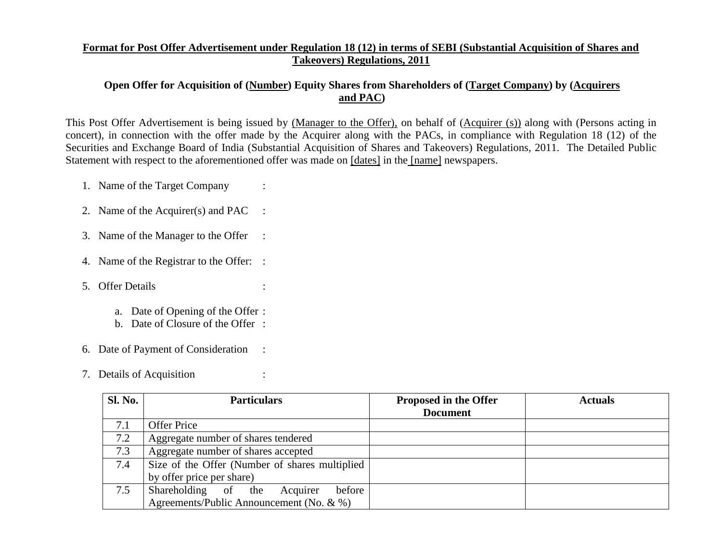## **Format for Post Offer Advertisement under Regulation 18 (12) in terms of SEBI (Substantial Acquisition of Shares and Takeovers) Regulations, 2011**

## **Open Offer for Acquisition of (Number) Equity Shares from Shareholders of (Target Company) by (Acquirers and PAC)**

This Post Offer Advertisement is being issued by (Manager to the Offer), on behalf of (Acquirer (s)) along with (Persons acting in concert), in connection with the offer made by the Acquirer along with the PACs, in compliance with Regulation 18 (12) of the Securities and Exchange Board of India (Substantial Acquisition of Shares and Takeovers) Regulations, 2011. The Detailed Public Statement with respect to the aforementioned offer was made on [dates] in the [name] newspapers.

1. Name of the Target Company :

- 2. Name of the Acquirer(s) and PAC :
- 3. Name of the Manager to the Offer :
- 4. Name of the Registrar to the Offer: :
- 5. Offer Details :
	- a. Date of Opening of the Offer :
	- b. Date of Closure of the Offer :
- 6. Date of Payment of Consideration :
- 7. Details of Acquisition :

| <b>Sl. No.</b> | <b>Particulars</b>                             | <b>Proposed in the Offer</b> | <b>Actuals</b> |
|----------------|------------------------------------------------|------------------------------|----------------|
|                |                                                | <b>Document</b>              |                |
| 7.1            | <b>Offer Price</b>                             |                              |                |
| 7.2            | Aggregate number of shares tendered            |                              |                |
| 7.3            | Aggregate number of shares accepted            |                              |                |
| 7.4            | Size of the Offer (Number of shares multiplied |                              |                |
|                | by offer price per share)                      |                              |                |
| 7.5            | Shareholding of the<br>before<br>Acquirer      |                              |                |
|                | Agreements/Public Announcement (No. $\& \%$ )  |                              |                |